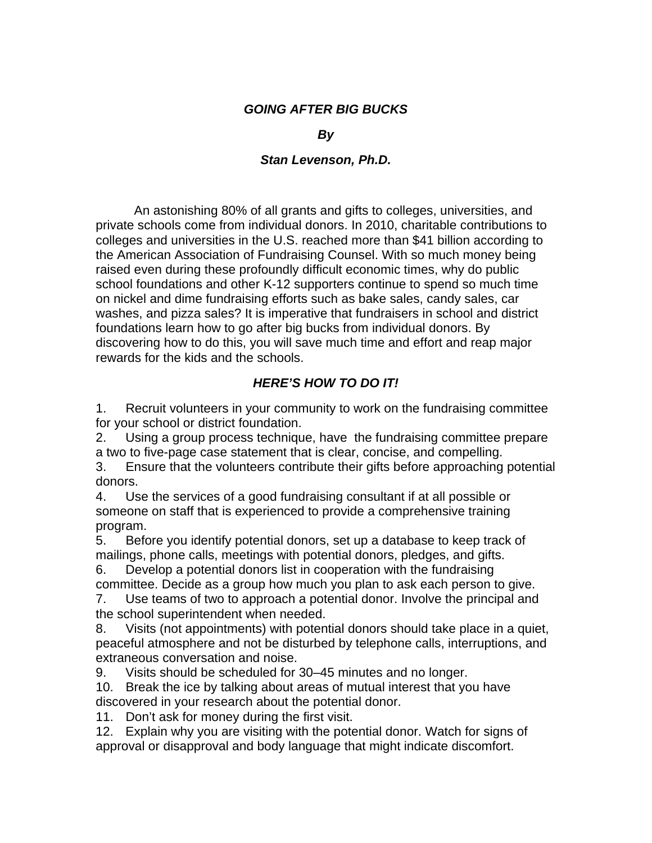## *GOING AFTER BIG BUCKS*

## *By*

## *Stan Levenson, Ph.D.*

An astonishing 80% of all grants and gifts to colleges, universities, and private schools come from individual donors. In 2010, charitable contributions to colleges and universities in the U.S. reached more than \$41 billion according to the American Association of Fundraising Counsel. With so much money being raised even during these profoundly difficult economic times, why do public school foundations and other K-12 supporters continue to spend so much time on nickel and dime fundraising efforts such as bake sales, candy sales, car washes, and pizza sales? It is imperative that fundraisers in school and district foundations learn how to go after big bucks from individual donors. By discovering how to do this, you will save much time and effort and reap major rewards for the kids and the schools.

## *HERE'S HOW TO DO IT!*

1. Recruit volunteers in your community to work on the fundraising committee for your school or district foundation.

2. Using a group process technique, have the fundraising committee prepare a two to five-page case statement that is clear, concise, and compelling.

3. Ensure that the volunteers contribute their gifts before approaching potential donors.

4. Use the services of a good fundraising consultant if at all possible or someone on staff that is experienced to provide a comprehensive training program.

5. Before you identify potential donors, set up a database to keep track of mailings, phone calls, meetings with potential donors, pledges, and gifts.

6. Develop a potential donors list in cooperation with the fundraising committee. Decide as a group how much you plan to ask each person to give.

7. Use teams of two to approach a potential donor. Involve the principal and the school superintendent when needed.

8. Visits (not appointments) with potential donors should take place in a quiet, peaceful atmosphere and not be disturbed by telephone calls, interruptions, and extraneous conversation and noise.

9. Visits should be scheduled for 30–45 minutes and no longer.

10. Break the ice by talking about areas of mutual interest that you have discovered in your research about the potential donor.

11. Don't ask for money during the first visit.

12. Explain why you are visiting with the potential donor. Watch for signs of approval or disapproval and body language that might indicate discomfort.